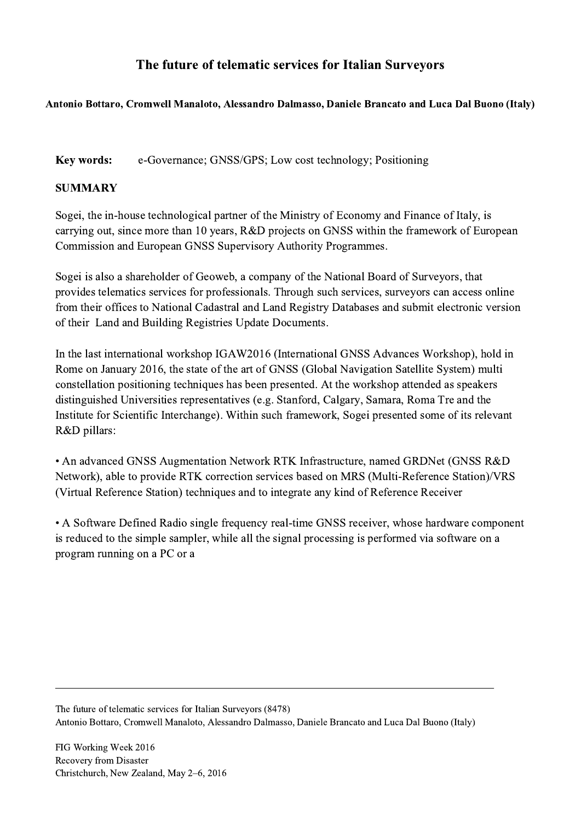## The future of telematic services for Italian Surveyors

## Antonio Bottaro, Cromwell Manaloto, Alessandro Dalmasso, Daniele Brancato and Luca Dal Buono (Italy)

Key words: e-Governance; GNSS/GPS; Low cost technology; Positioning

## **SUMMARY**

Sogei, the in-house technological partner of the Ministry of Economy and Finance of Italy, is carrying out, since more than 10 years, R&D projects on GNSS within the framework of European Commission and European GNSS Supervisory Authority Programmes.

Sogei is also a shareholder of Geoweb, a company of the National Board of Surveyors, that provides telematics services for professionals. Through such services, surveyors can access online from their offices to National Cadastral and Land Registry Databases and submit electronic version of their Land and Building Registries Update Documents.

In the last international workshop IGAW2016 (International GNSS Advances Workshop), hold in Rome on January 2016, the state of the art of GNSS (Global Navigation Satellite System) multi constellation positioning techniques has been presented. At the workshop attended as speakers distinguished Universities representatives (e.g. Stanford, Calgary, Samara, Roma Tre and the Institute for Scientific Interchange). Within such framework, Sogei presented some of its relevant R&D pillars:

• An advanced GNSS Augmentation Network RTK Infrastructure, named GRDNet (GNSS R&D Network), able to provide RTK correction services based on MRS (Multi-Reference Station)/VRS (Virtual Reference Station) techniques and to integrate any kind of Reference Receiver

• A Software Defined Radio single frequency real-time GNSS receiver, whose hardware component is reduced to the simple sampler, while all the signal processing is performed via software on a program running on a PC or a

The future of telematic services for Italian Surveyors (8478) Antonio Bottaro, Cromwell Manaloto, Alessandro Dalmasso, Daniele Brancato and Luca Dal Buono (Italy)

 $\mathcal{L}_\mathcal{L} = \{ \mathcal{L}_\mathcal{L} = \{ \mathcal{L}_\mathcal{L} = \{ \mathcal{L}_\mathcal{L} = \{ \mathcal{L}_\mathcal{L} = \{ \mathcal{L}_\mathcal{L} = \{ \mathcal{L}_\mathcal{L} = \{ \mathcal{L}_\mathcal{L} = \{ \mathcal{L}_\mathcal{L} = \{ \mathcal{L}_\mathcal{L} = \{ \mathcal{L}_\mathcal{L} = \{ \mathcal{L}_\mathcal{L} = \{ \mathcal{L}_\mathcal{L} = \{ \mathcal{L}_\mathcal{L} = \{ \mathcal{L}_\mathcal{$ 

FIG Working Week 2016 Recovery from Disaster Christchurch, New Zealand, May 2–6, 2016